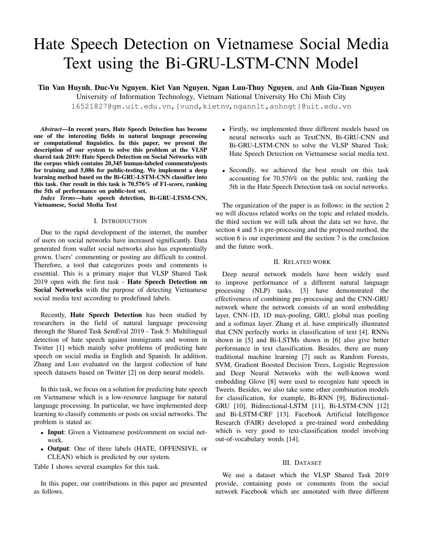# Hate Speech Detection on Vietnamese Social Media Text using the Bi-GRU-LSTM-CNN Model

**Tin Van Huynh**, **Duc-Vu Nguyen**, **Kiet Van Nguyen**, **Ngan Luu-Thuy Nguyen**, and **Anh Gia-Tuan Nguyen** University of Information Technology, Vietnam National University Ho Chi Minh City 16521827@gm.uit.edu.vn,{vund,kietnv,ngannlt,anhngt}@uit.edu.vn

*Abstract***—In recent years, Hate Speech Detection has become one of the interesting fields in natural language processing or computational linguistics. In this paper, we present the description of our system to solve this problem at the VLSP shared task 2019: Hate Speech Detection on Social Networks with the corpus which contains 20,345 human-labeled comments/posts for training and 5,086 for public-testing. We implement a deep learning method based on the Bi-GRU-LSTM-CNN classifier into this task. Our result in this task is 70.576% of F1-score, ranking the 5th of performance on public-test set.**

*Index Terms***—hate speech detection, Bi-GRU-LTSM-CNN, Vietnamese, Social Media Text**

# I. INTRODUCTION

Due to the rapid development of the internet, the number of users on social networks have increased significantly. Data generated from wallet social networks also has exponentially grown. Users' commenting or posting are difficult to control. Therefore, a tool that categorizes posts and comments is essential. This is a primary major that VLSP Shared Task 2019 open with the first task - **Hate Speech Detection on Social Networks** with the purpose of detecting Vietnamese social media text according to predefined labels.

Recently, **Hate Speech Detection** has been studied by researchers in the field of natural language processing through the Shared Task SemEval 2019 - Task 5: Multilingual detection of hate speech against immigrants and women in Twitter [1] which mainly solve problems of predicting hate speech on social media in English and Spanish. In addition, Zhang and Luo evaluated on the largest collection of hate speech datasets based on Twitter [2] on deep neural models.

In this task, we focus on a solution for predicting hate speech on Vietnamese which is a low-resource language for natural language processing. In particular, we have implemented deep learning to classify comments or posts on social networks. The problem is stated as:

- **Input**: Given a Vietnamese post/comment on social network.
- **Output**: One of three labels (HATE, OFFENSIVE, or CLEAN) which is predicted by our system.

Table I shows several examples for this task.

In this paper, our contributions in this paper are presented as follows.

- Firstly, we implemented three different models based on neural networks such as TextCNN, Bi-GRU-CNN and Bi-GRU-LSTM-CNN to solve the VLSP Shared Task: Hate Speech Detection on Vietnamese social media text.
- Secondly, we achieved the best result on this task accounting for 70.576% on the public test, ranking the 5th in the Hate Speech Detection task on social networks.

The organization of the paper is as follows: in the section 2 we will discuss related works on the topic and related models, the third section we will talk about the data set we have, the section 4 and 5 is pre-processing and the proposed method, the section 6 is our experiment and the section 7 is the conclusion and the future work.

#### II. RELATED WORK

Deep neural network models have been widely used to improve performance of a different natural language processing (NLP) tasks. [3] have demonstrated the effectiveness of combining pre-processing and the CNN-GRU network where the network consists of an word embedding layer, CNN-1D, 1D max-pooling, GRU, global max pooling and a softmax layer. Zhang et al. have empirically illustrated that CNN perfectly works in classification of text [4]. RNNs shown in [5] and Bi-LSTMs shown in [6] also give better performance in text classification. Besides, there are many traditional machine learning [7] such as Random Forests, SVM, Gradient Boosted Decision Trees, Logistic Regression and Deep Neural Networks with the well-known word embedding Glove [8] were used to recognize hate speech in Tweets. Besides, we also take some other combination models for classification, for example, Bi-RNN [9], Bidirectional-GRU [10], Bidirectional-LSTM [11], Bi-LSTM-CNN [12] and Bi-LSTM-CRF [13]. Facebook Artificial Intelligence Research (FAIR) developed a pre-trained word embedding which is very good to text-classification model involving out-of-vocabulary words [14].

#### III. DATASET

We use a dataset which the VLSP Shared Task 2019 provide, containing posts or comments from the social network Facebook which are annotated with three different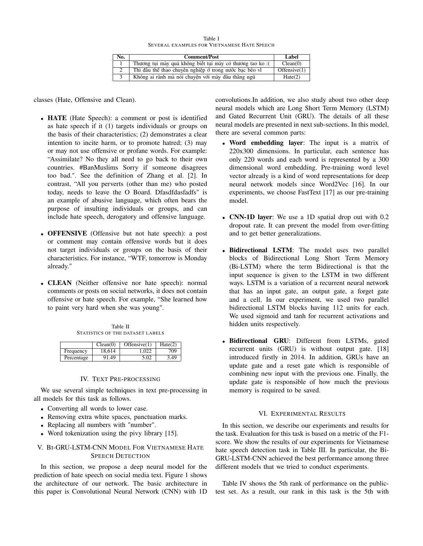Table I SEVERAL EXAMPLES FOR VIETNAMESE HATE SPEECH

| No. | <b>Comment/Post</b>                                       | Label        |
|-----|-----------------------------------------------------------|--------------|
|     | Thương tụi mày quá không biết tụi mày có thương tao ko :( | Clean(0)     |
|     | Thi đấu thể thao chuyên nghiệp ở trong nước bac bẽo vì    | Offensive(1) |
|     | Không ai rãnh mà nói chuyên với mày đâu thẳng ngũ         | Hate(2)      |

classes (Hate, Offensive and Clean).

- **HATE** (Hate Speech): a comment or post is identified as hate speech if it (1) targets individuals or groups on the basis of their characteristics; (2) demonstrates a clear intention to incite harm, or to promote hatred; (3) may or may not use offensive or profane words. For example: "Assimilate? No they all need to go back to their own countries. #BanMuslims Sorry if someone disagrees too bad.". See the definition of Zhang et al. [2]. In contrast, "All you perverts (other than me) who posted today, needs to leave the O Board. Dfasdfdasfadfs" is an example of abusive language, which often bears the purpose of insulting individuals or groups, and can include hate speech, derogatory and offensive language.
- **OFFENSIVE** (Offensive but not hate speech): a post or comment may contain offensive words but it does not target individuals or groups on the basis of their characteristics. For instance, "WTF, tomorrow is Monday already."
- **CLEAN** (Neither offensive nor hate speech): normal comments or posts on social networks, it does not contain offensive or hate speech. For example, "She learned how to paint very hard when she was young".

Table II STATISTICS OF THE DATASET LABELS

|            | Clean(0) | Offensive(1) | Hate(2) |
|------------|----------|--------------|---------|
| Frequency  | 18.614   | .022         | 709     |
| Percentage | 91.49    | 5.02         | 3.49    |

## IV. TEXT PRE-PROCESSING

We use several simple techniques in text pre-processing in all models for this task as follows.

- Converting all words to lower case.
- Removing extra white spaces, punctuation marks.
- Replacing all numbers with "number".
- Word tokenization using the pivy library [15].

## V. BI-GRU-LSTM-CNN MODEL FOR VIETNAMESE HATE SPEECH DETECTION

In this section, we propose a deep neural model for the prediction of hate speech on social media text. Figure 1 shows the architecture of our network. The basic architecture in this paper is Convolutional Neural Network (CNN) with 1D convolutions.In addition, we also study about two other deep neural models which are Long Short Term Memory (LSTM) and Gated Recurrent Unit (GRU). The details of all these neural models are presented in next sub-sections. In this model, there are several common parts:

- **Word embedding layer**: The input is a matrix of 220x300 dimensions. In particular, each sentence has only 220 words and each word is represented by a 300 dimensional word embedding. Pre-training word level vector already is a kind of word representations for deep neural network models since Word2Vec [16]. In our experiments, we choose FastText [17] as our pre-training model.
- **CNN-1D layer**: We use a 1D spatial drop out with 0.2 dropout rate. It can prevent the model from over-fitting and to get better generalizations.
- **Bidirectional LSTM**: The model uses two parallel blocks of Bidirectional Long Short Term Memory (Bi-LSTM) where the term Bidirectional is that the input sequence is given to the LSTM in two different ways. LSTM is a variation of a recurrent neural network that has an input gate, an output gate, a forget gate and a cell. In our experiment, we used two parallel bidirectional LSTM blocks having 112 units for each. We used sigmoid and tanh for recurrent activations and hidden units respectively.
- **Bidirectional GRU**: Different from LSTMs, gated recurrent units (GRU) is without output gate. [18] introduced firstly in 2014. In addition, GRUs have an update gate and a reset gate which is responsible of combining new input with the previous one. Finally, the update gate is responsible of how much the previous memory is required to be saved.

## VI. EXPERIMENTAL RESULTS

In this section, we describe our experiments and results for the task. Evaluation for this task is based on a metric of the F1 score. We show the results of our experiments for Vietnamese hate speech detection task in Table III. In particular, the Bi-GRU-LSTM-CNN achieved the best performance among three different models that we tried to conduct experiments.

Table IV shows the 5th rank of performance on the publictest set. As a result, our rank in this task is the 5th with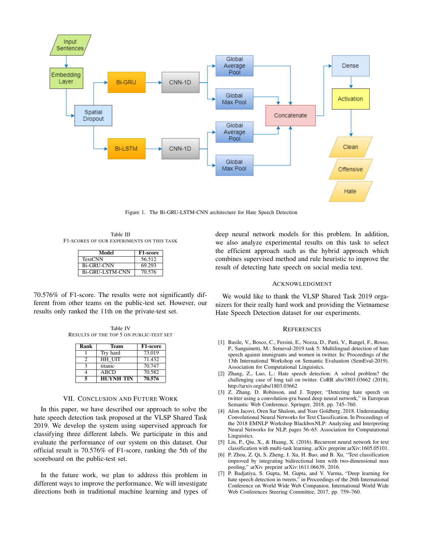

Figure 1. The Bi-GRU-LSTM-CNN architecture for Hate Speech Detection

Table III F1-SCORES OF OUR EXPERIMENTS ON THIS TASK

| Model                  | F1-score |
|------------------------|----------|
| <b>TextCNN</b>         | 56.512   |
| <b>Bi-GRU-CNN</b>      | 69.293   |
| <b>Bi-GRU-LSTM-CNN</b> | 70.576   |

70.576% of F1-score. The results were not significantly different from other teams on the public-test set. However, our results only ranked the 11th on the private-test set.

Table IV RESULTS OF THE TOP 5 ON PUBLIC-TEST SET

| Rank | Team             | F1-score |
|------|------------------|----------|
|      | Try hard         | 73.019   |
|      | HH UIT           | 71.432   |
|      | titanic          | 70.747   |
|      | <b>ABCD</b>      | 70.582   |
|      | <b>HUYNH TIN</b> | 70.576   |

#### VII. CONCLUSION AND FUTURE WORK

In this paper, we have described our approach to solve the hate speech detection task proposed at the VLSP Shared Task 2019. We develop the system using supervised approach for classifying three different labels. We participate in this and evaluate the performance of our system on this dataset. Our official result is 70.576% of F1-score, ranking the 5th of the scoreboard on the public-test set.

In the future work, we plan to address this problem in different ways to improve the performance. We will investigate directions both in traditional machine learning and types of

deep neural network models for this problem. In addition, we also analyze experimental results on this task to select the efficient approach such as the hybrid approach which combines supervised method and rule heuristic to improve the result of detecting hate speech on social media text.

#### ACKNOWLEDGMENT

We would like to thank the VLSP Shared Task 2019 organizers for their really hard work and providing the Vietnamese Hate Speech Detection dataset for our experiments.

#### **REFERENCES**

- [1] Basile, V., Bosco, C., Fersini, E., Nozza, D., Patti, V., Rangel, F., Rosso, P., Sanguinetti, M.: Semeval-2019 task 5: Multilingual detection of hate speech against immigrants and women in twitter. In: Proceedings of the 13th International Workshop on Semantic Evaluation (SemEval-2019). Association for Computational Linguistics.
- [2] Zhang, Z., Luo, L.: Hate speech detection: A solved problem? the challenging case of long tail on twitter. CoRR abs/1803.03662 (2018), http://arxiv.org/abs/1803.03662
- [3] Z. Zhang, D. Robinson, and J. Tepper, "Detecting hate speech on twitter using a convolution-gru based deep neural network," in European Semantic Web Conference. Springer, 2018, pp. 745–760.
- [4] Alon Jacovi, Oren Sar Shalom, and Yoav Goldberg. 2018. Understanding Convolutional Neural Networks for Text Classification. In Proceedings of the 2018 EMNLP Workshop BlackboxNLP: Analyzing and Interpreting Neural Networks for NLP, pages 56–65. Association for Computational Linguistics.
- [5] Liu, P., Qiu, X., & Huang, X. (2016). Recurrent neural network for text classification with multi-task learning. arXiv preprint arXiv:1605.05101.
- [6] P. Zhou, Z. Qi, S. Zheng, J. Xu, H. Bao, and B. Xu, "Text classification improved by integrating bidirectional lstm with two-dimensional max pooling," arXiv preprint arXiv:1611.06639, 2016.
- [7] P. Badjatiya, S. Gupta, M. Gupta, and V. Varma, "Deep learning for hate speech detection in tweets," in Proceedings of the 26th International Conference on World Wide Web Companion. International World Wide Web Conferences Steering Committee, 2017, pp. 759–760.